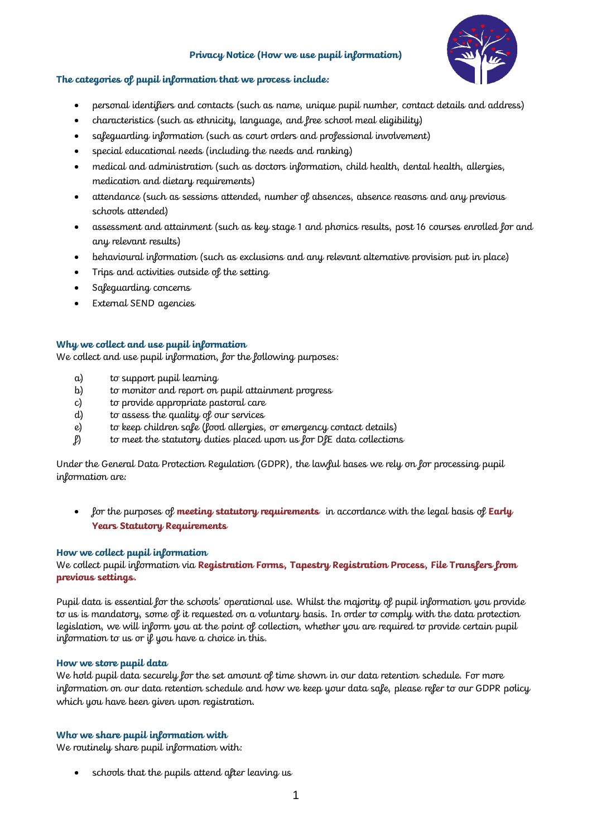#### **Privacy Notice (How we use pupil information)**



#### **The categories of pupil information that we process include:**

- personal identifiers and contacts (such as name, unique pupil number, contact details and address)
- characteristics (such as ethnicity, language, and free school meal eligibility)
- safeguarding information (such as court orders and professional involvement)
- special educational needs (including the needs and ranking)
- medical and administration (such as doctors information, child health, dental health, allergies, medication and dietary requirements)
- attendance (such as sessions attended, number of absences, absence reasons and any previous schools attended)
- assessment and attainment (such as key stage 1 and phonics results, post 16 courses enrolled for and any relevant results)
- behavioural information (such as exclusions and any relevant alternative provision put in place)
- Trips and activities outside of the setting
- Safeguarding concerns
- External SEND agencies

## **Why we collect and use pupil information**

We collect and use pupil information, for the following purposes:

- a) to support pupil learning
- b) to monitor and report on pupil attainment progress
- c) to provide appropriate pastoral care
- d) to assess the quality of our services
- e) to keep children safe (food allergies, or emergency contact details)
- f) to meet the statutory duties placed upon us for DfE data collections

Under the General Data Protection Regulation (GDPR), the lawful bases we rely on for processing pupil information are:

• for the purposes of **meeting statutory requirements** in accordance with the legal basis of **Early Years Statutory Requirements**

## **How we collect pupil information**

We collect pupil information via **Registration Forms, Tapestry Registration Process, File Transfers from previous settings.**

Pupil data is essential for the schools' operational use. Whilst the majority of pupil information you provide to us is mandatory, some of it requested on a voluntary basis. In order to comply with the data protection legislation, we will inform you at the point of collection, whether you are required to provide certain pupil information to us or if you have a choice in this.

## **How we store pupil data**

We hold pupil data securely for the set amount of time shown in our data retention schedule. For more information on our data retention schedule and how we keep your data safe, please refer to our GDPR policy which you have been given upon registration.

## **Who we share pupil information with**

We routinely share pupil information with:

schools that the pupils attend after leaving us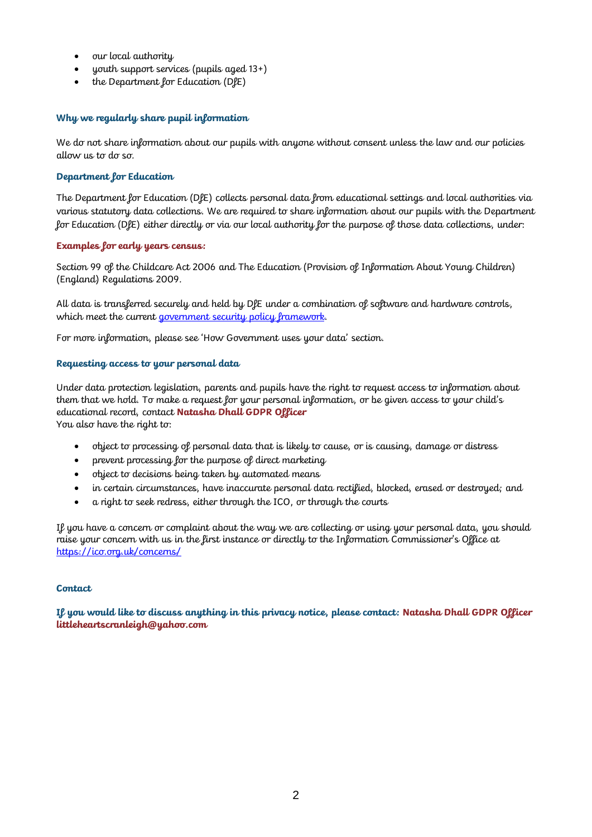- our local authority
- youth support services (pupils aged  $13+$ )
- the Department for Education (DfE)

## **Why we regularly share pupil information**

We do not share information about our pupils with anyone without consent unless the law and our policies allow us to do so.

# **Department for Education**

The Department for Education (DfE) collects personal data from educational settings and local authorities via various statutory data collections. We are required to share information about our pupils with the Department for Education (DfE) either directly or via our local authority for the purpose of those data collections, under:

## **Examples for early years census:**

Section 99 of the Childcare Act 2006 and The Education (Provision of Information About Young Children) (England) Regulations 2009.

All data is transferred securely and held by DfE under a combination of software and hardware controls, which meet the current [government security policy framework.](https://www.gov.uk/government/publications/security-policy-framework)

For more information, please see 'How Government uses your data' section.

## **Requesting access to your personal data**

Under data protection legislation, parents and pupils have the right to request access to information about them that we hold. To make a request for your personal information, or be given access to your child's educational record, contact **Natasha Dhall GDPR Officer**

You also have the right to:

- object to processing of personal data that is likely to cause, or is causing, damage or distress
- prevent processing for the purpose of direct marketing
- object to decisions being taken by automated means
- in certain circumstances, have inaccurate personal data rectified, blocked, erased or destroyed; and
- a right to seek redress, either through the ICO, or through the courts

If you have a concern or complaint about the way we are collecting or using your personal data, you should raise your concern with us in the first instance or directly to the Information Commissioner's Office at <https://ico.org.uk/concerns/>

## **Contact**

**If you would like to discuss anything in this privacy notice, please contact: Natasha Dhall GDPR Officer littleheartscranleigh@yahoo.com**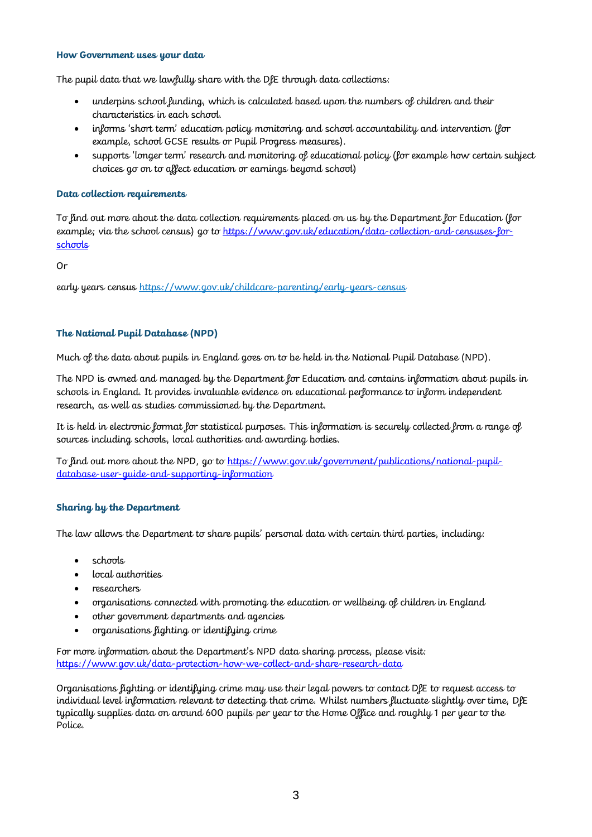#### **How Government uses your data**

The pupil data that we lawfully share with the DfE through data collections:

- underpins school funding, which is calculated based upon the numbers of children and their characteristics in each school.
- informs 'short term' education policy monitoring and school accountability and intervention (for example, school GCSE results or Pupil Progress measures).
- supports 'longer term' research and monitoring of educational policy (for example how certain subject choices go on to affect education or earnings beyond school)

#### **Data collection requirements**

To find out more about the data collection requirements placed on us by the Department for Education (for example; via the school census) go to [https://www.gov.uk/education/data-collection-and-censuses-for](https://www.gov.uk/education/data-collection-and-censuses-for-schools)**[schools](https://www.gov.uk/education/data-collection-and-censuses-for-schools)** 

Or

early years census <https://www.gov.uk/childcare-parenting/early-years-census>

## **The National Pupil Database (NPD)**

Much of the data about pupils in England goes on to be held in the National Pupil Database (NPD).

The NPD is owned and managed by the Department for Education and contains information about pupils in schools in England. It provides invaluable evidence on educational performance to inform independent research, as well as studies commissioned by the Department.

It is held in electronic format for statistical purposes. This information is securely collected from a range of sources including schools, local authorities and awarding bodies.

To find out more about the NPD, go to [https://www.gov.uk/government/publications/national-pupil](https://www.gov.uk/government/publications/national-pupil-database-user-guide-and-supporting-information)[database-user-guide-and-supporting-information](https://www.gov.uk/government/publications/national-pupil-database-user-guide-and-supporting-information)

#### **Sharing by the Department**

The law allows the Department to share pupils' personal data with certain third parties, including:

- schools
- local authorities
- researchers
- organisations connected with promoting the education or wellbeing of children in England
- other government departments and agencies
- organisations fighting or identifying crime

For more information about the Department's NPD data sharing process, please visit: <https://www.gov.uk/data-protection-how-we-collect-and-share-research-data>

Organisations fighting or identifying crime may use their legal powers to contact DfE to request access to individual level information relevant to detecting that crime. Whilst numbers fluctuate slightly over time, DfE typically supplies data on around 600 pupils per year to the Home Office and roughly 1 per year to the Police.